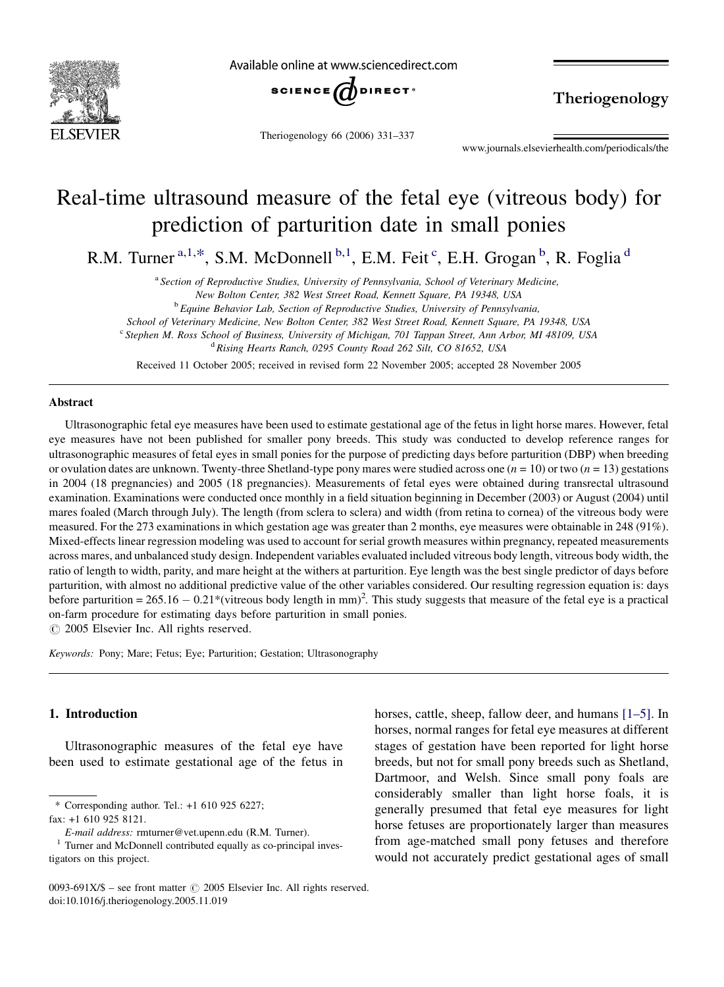

Available online at www.sciencedirect.com



Theriogenology 66 (2006) 331–337

Theriogenology

www.journals.elsevierhealth.com/periodicals/the

# Real-time ultrasound measure of the fetal eye (vitreous body) for prediction of parturition date in small ponies

R.M. Turner<sup>a,1,\*</sup>, S.M. McDonnell<sup>b,1</sup>, E.M. Feit<sup>c</sup>, E.H. Grogan<sup>b</sup>, R. Foglia<sup>d</sup>

<sup>a</sup> Section of Reproductive Studies, University of Pennsylvania, School of Veterinary Medicine,

New Bolton Center, 382 West Street Road, Kennett Square, PA 19348, USA

<sup>b</sup> Equine Behavior Lab, Section of Reproductive Studies, University of Pennsylvania,

School of Veterinary Medicine, New Bolton Center, 382 West Street Road, Kennett Square, PA 19348, USA

<sup>c</sup> Stephen M. Ross School of Business, University of Michigan, 701 Tappan Street, Ann Arbor, MI 48109, USA

<sup>d</sup> Rising Hearts Ranch, 0295 County Road 262 Silt, CO 81652, USA

Received 11 October 2005; received in revised form 22 November 2005; accepted 28 November 2005

## Abstract

Ultrasonographic fetal eye measures have been used to estimate gestational age of the fetus in light horse mares. However, fetal eye measures have not been published for smaller pony breeds. This study was conducted to develop reference ranges for ultrasonographic measures of fetal eyes in small ponies for the purpose of predicting days before parturition (DBP) when breeding or ovulation dates are unknown. Twenty-three Shetland-type pony mares were studied across one  $(n = 10)$  or two  $(n = 13)$  gestations in 2004 (18 pregnancies) and 2005 (18 pregnancies). Measurements of fetal eyes were obtained during transrectal ultrasound examination. Examinations were conducted once monthly in a field situation beginning in December (2003) or August (2004) until mares foaled (March through July). The length (from sclera to sclera) and width (from retina to cornea) of the vitreous body were measured. For the 273 examinations in which gestation age was greater than 2 months, eye measures were obtainable in 248 (91%). Mixed-effects linear regression modeling was used to account for serial growth measures within pregnancy, repeated measurements across mares, and unbalanced study design. Independent variables evaluated included vitreous body length, vitreous body width, the ratio of length to width, parity, and mare height at the withers at parturition. Eye length was the best single predictor of days before parturition, with almost no additional predictive value of the other variables considered. Our resulting regression equation is: days before parturition =  $265.16 - 0.21$ \*(vitreous body length in mm)<sup>2</sup>. This study suggests that measure of the fetal eye is a practical on-farm procedure for estimating days before parturition in small ponies.

 $\odot$  2005 Elsevier Inc. All rights reserved.

Keywords: Pony; Mare; Fetus; Eye; Parturition; Gestation; Ultrasonography

# 1. Introduction

Ultrasonographic measures of the fetal eye have been used to estimate gestational age of the fetus in

fax: +1 610 925 8121.

<sup>\*</sup> Corresponding author. Tel.: +1 610 925 6227;

 $E$ -mail address: rmturner@vet.upenn.edu (R.M. Turner). 1 Turner and McDonnell contributed equally as co-principal investigators on this project.

horses, cattle, sheep, fallow deer, and humans [\[1–5\].](#page-6-0) In horses, normal ranges for fetal eye measures at different stages of gestation have been reported for light horse breeds, but not for small pony breeds such as Shetland, Dartmoor, and Welsh. Since small pony foals are considerably smaller than light horse foals, it is generally presumed that fetal eye measures for light horse fetuses are proportionately larger than measures from age-matched small pony fetuses and therefore would not accurately predict gestational ages of small

<sup>0093-691</sup>X/\$ – see front matter  $\odot$  2005 Elsevier Inc. All rights reserved. doi:10.1016/j.theriogenology.2005.11.019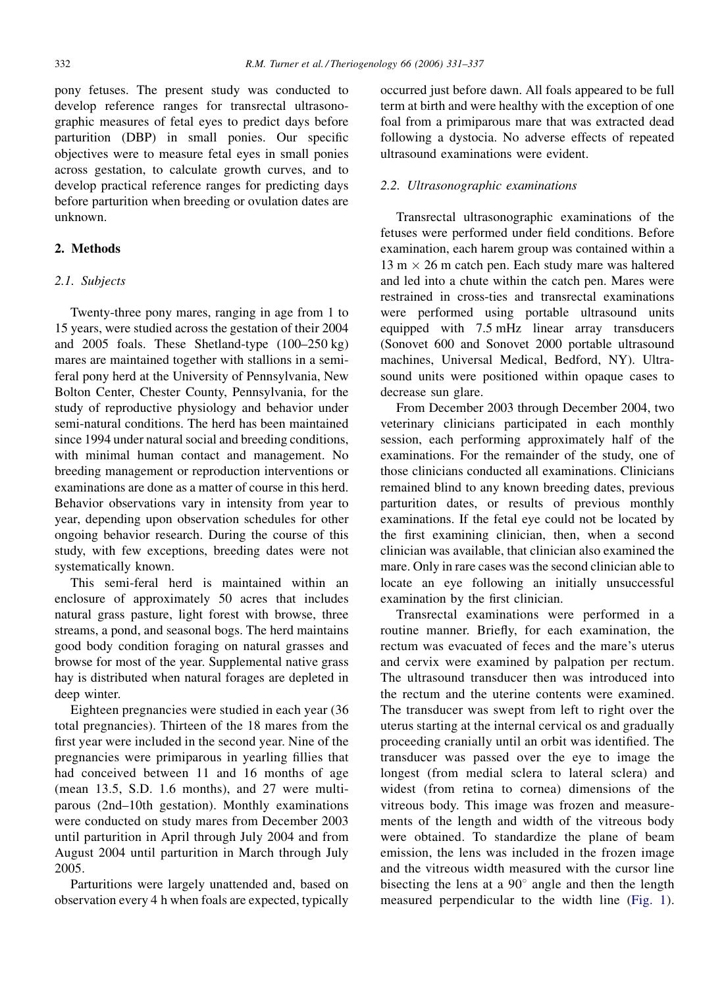pony fetuses. The present study was conducted to develop reference ranges for transrectal ultrasonographic measures of fetal eyes to predict days before parturition (DBP) in small ponies. Our specific objectives were to measure fetal eyes in small ponies across gestation, to calculate growth curves, and to develop practical reference ranges for predicting days before parturition when breeding or ovulation dates are unknown.

# 2. Methods

# 2.1. Subjects

Twenty-three pony mares, ranging in age from 1 to 15 years, were studied across the gestation of their 2004 and 2005 foals. These Shetland-type (100–250 kg) mares are maintained together with stallions in a semiferal pony herd at the University of Pennsylvania, New Bolton Center, Chester County, Pennsylvania, for the study of reproductive physiology and behavior under semi-natural conditions. The herd has been maintained since 1994 under natural social and breeding conditions, with minimal human contact and management. No breeding management or reproduction interventions or examinations are done as a matter of course in this herd. Behavior observations vary in intensity from year to year, depending upon observation schedules for other ongoing behavior research. During the course of this study, with few exceptions, breeding dates were not systematically known.

This semi-feral herd is maintained within an enclosure of approximately 50 acres that includes natural grass pasture, light forest with browse, three streams, a pond, and seasonal bogs. The herd maintains good body condition foraging on natural grasses and browse for most of the year. Supplemental native grass hay is distributed when natural forages are depleted in deep winter.

Eighteen pregnancies were studied in each year (36 total pregnancies). Thirteen of the 18 mares from the first year were included in the second year. Nine of the pregnancies were primiparous in yearling fillies that had conceived between 11 and 16 months of age (mean 13.5, S.D. 1.6 months), and 27 were multiparous (2nd–10th gestation). Monthly examinations were conducted on study mares from December 2003 until parturition in April through July 2004 and from August 2004 until parturition in March through July 2005.

Parturitions were largely unattended and, based on observation every 4 h when foals are expected, typically

occurred just before dawn. All foals appeared to be full term at birth and were healthy with the exception of one foal from a primiparous mare that was extracted dead following a dystocia. No adverse effects of repeated ultrasound examinations were evident.

### 2.2. Ultrasonographic examinations

Transrectal ultrasonographic examinations of the fetuses were performed under field conditions. Before examination, each harem group was contained within a  $13 \text{ m} \times 26 \text{ m}$  catch pen. Each study mare was haltered and led into a chute within the catch pen. Mares were restrained in cross-ties and transrectal examinations were performed using portable ultrasound units equipped with 7.5 mHz linear array transducers (Sonovet 600 and Sonovet 2000 portable ultrasound machines, Universal Medical, Bedford, NY). Ultrasound units were positioned within opaque cases to decrease sun glare.

From December 2003 through December 2004, two veterinary clinicians participated in each monthly session, each performing approximately half of the examinations. For the remainder of the study, one of those clinicians conducted all examinations. Clinicians remained blind to any known breeding dates, previous parturition dates, or results of previous monthly examinations. If the fetal eye could not be located by the first examining clinician, then, when a second clinician was available, that clinician also examined the mare. Only in rare cases was the second clinician able to locate an eye following an initially unsuccessful examination by the first clinician.

Transrectal examinations were performed in a routine manner. Briefly, for each examination, the rectum was evacuated of feces and the mare's uterus and cervix were examined by palpation per rectum. The ultrasound transducer then was introduced into the rectum and the uterine contents were examined. The transducer was swept from left to right over the uterus starting at the internal cervical os and gradually proceeding cranially until an orbit was identified. The transducer was passed over the eye to image the longest (from medial sclera to lateral sclera) and widest (from retina to cornea) dimensions of the vitreous body. This image was frozen and measurements of the length and width of the vitreous body were obtained. To standardize the plane of beam emission, the lens was included in the frozen image and the vitreous width measured with the cursor line bisecting the lens at a  $90^\circ$  angle and then the length measured perpendicular to the width line ([Fig. 1](#page-2-0)).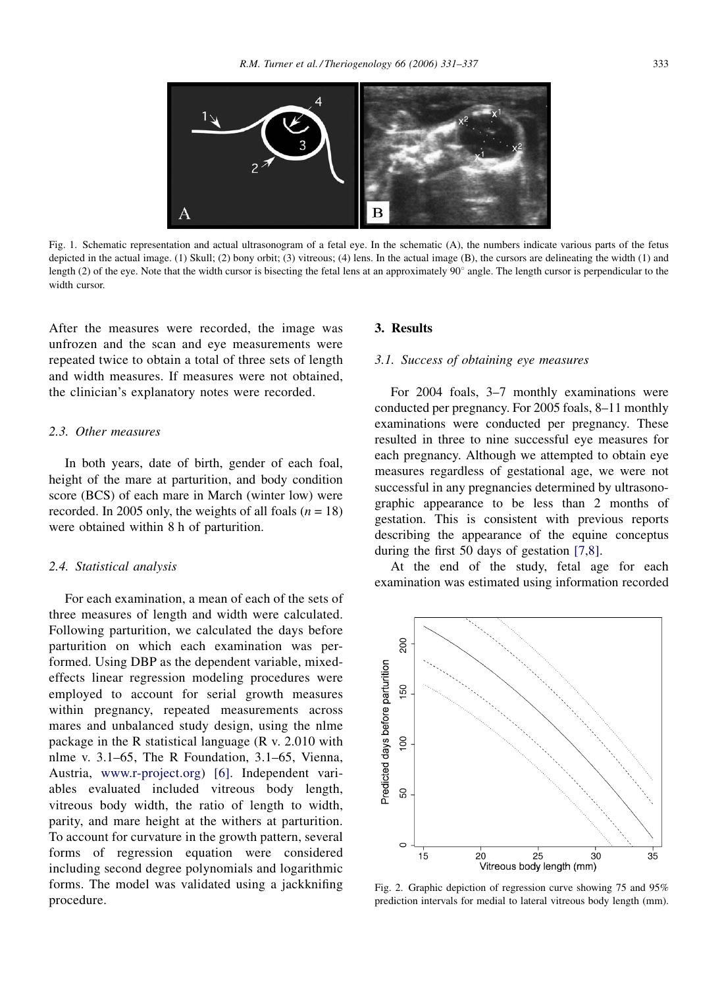<span id="page-2-0"></span>

Fig. 1. Schematic representation and actual ultrasonogram of a fetal eye. In the schematic (A), the numbers indicate various parts of the fetus depicted in the actual image. (1) Skull; (2) bony orbit; (3) vitreous; (4) lens. In the actual image (B), the cursors are delineating the width (1) and length (2) of the eye. Note that the width cursor is bisecting the fetal lens at an approximately  $90^\circ$  angle. The length cursor is perpendicular to the width cursor.

After the measures were recorded, the image was unfrozen and the scan and eye measurements were repeated twice to obtain a total of three sets of length and width measures. If measures were not obtained, the clinician's explanatory notes were recorded.

## 2.3. Other measures

In both years, date of birth, gender of each foal, height of the mare at parturition, and body condition score (BCS) of each mare in March (winter low) were recorded. In 2005 only, the weights of all foals ( $n = 18$ ) were obtained within 8 h of parturition.

#### 2.4. Statistical analysis

For each examination, a mean of each of the sets of three measures of length and width were calculated. Following parturition, we calculated the days before parturition on which each examination was performed. Using DBP as the dependent variable, mixedeffects linear regression modeling procedures were employed to account for serial growth measures within pregnancy, repeated measurements across mares and unbalanced study design, using the nlme package in the R statistical language (R v. 2.010 with nlme v. 3.1–65, The R Foundation, 3.1–65, Vienna, Austria, [www.r-project.org](http://www.r-project.org/)) [\[6\].](#page-6-0) Independent variables evaluated included vitreous body length, vitreous body width, the ratio of length to width, parity, and mare height at the withers at parturition. To account for curvature in the growth pattern, several forms of regression equation were considered including second degree polynomials and logarithmic forms. The model was validated using a jackknifing procedure.

## 3. Results

#### 3.1. Success of obtaining eye measures

For 2004 foals, 3–7 monthly examinations were conducted per pregnancy. For 2005 foals, 8–11 monthly examinations were conducted per pregnancy. These resulted in three to nine successful eye measures for each pregnancy. Although we attempted to obtain eye measures regardless of gestational age, we were not successful in any pregnancies determined by ultrasonographic appearance to be less than 2 months of gestation. This is consistent with previous reports describing the appearance of the equine conceptus during the first 50 days of gestation [\[7,8\].](#page-6-0)

At the end of the study, fetal age for each examination was estimated using information recorded



Fig. 2. Graphic depiction of regression curve showing 75 and 95% prediction intervals for medial to lateral vitreous body length (mm).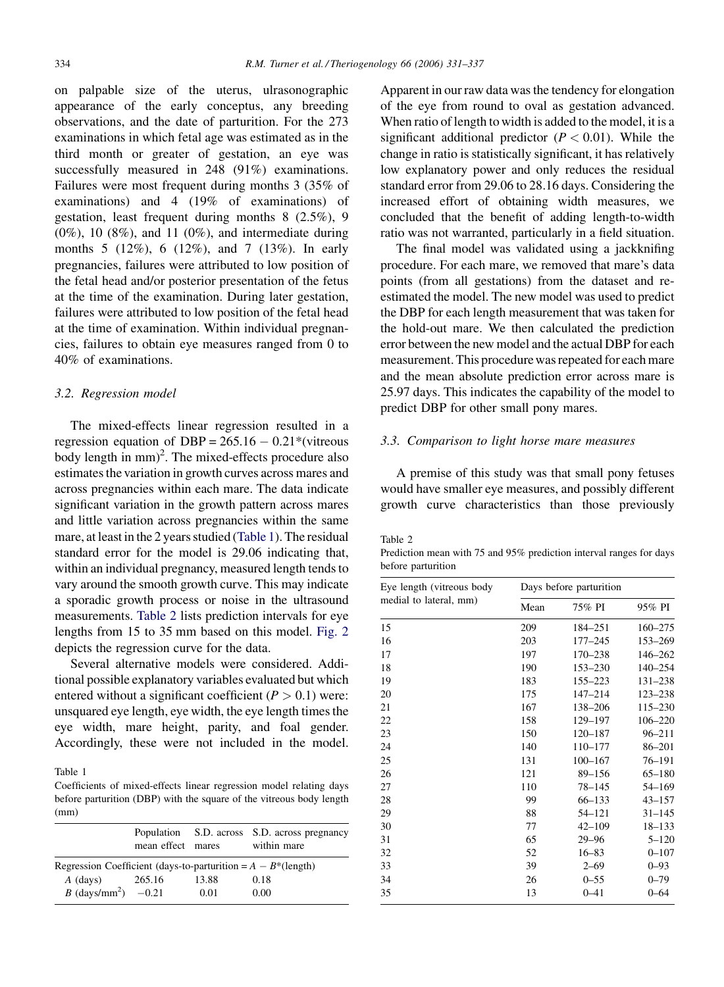on palpable size of the uterus, ulrasonographic appearance of the early conceptus, any breeding observations, and the date of parturition. For the 273 examinations in which fetal age was estimated as in the third month or greater of gestation, an eye was successfully measured in 248 (91%) examinations. Failures were most frequent during months 3 (35% of examinations) and 4 (19% of examinations) of gestation, least frequent during months 8 (2.5%), 9  $(0\%)$ , 10  $(8\%)$ , and 11  $(0\%)$ , and intermediate during months 5 (12%), 6 (12%), and 7 (13%). In early pregnancies, failures were attributed to low position of the fetal head and/or posterior presentation of the fetus at the time of the examination. During later gestation, failures were attributed to low position of the fetal head at the time of examination. Within individual pregnancies, failures to obtain eye measures ranged from 0 to 40% of examinations.

## 3.2. Regression model

The mixed-effects linear regression resulted in a regression equation of DBP =  $265.16 - 0.21$ <sup>\*</sup>(vitreous body length in  $mm$ <sup>2</sup>. The mixed-effects procedure also estimates the variation in growth curves across mares and across pregnancies within each mare. The data indicate significant variation in the growth pattern across mares and little variation across pregnancies within the same mare, at least in the 2 years studied (Table 1). The residual standard error for the model is 29.06 indicating that, within an individual pregnancy, measured length tends to vary around the smooth growth curve. This may indicate a sporadic growth process or noise in the ultrasound measurements. Table 2 lists prediction intervals for eye lengths from 15 to 35 mm based on this model. [Fig. 2](#page-2-0) depicts the regression curve for the data.

Several alternative models were considered. Additional possible explanatory variables evaluated but which entered without a significant coefficient  $(P > 0.1)$  were: unsquared eye length, eye width, the eye length times the eye width, mare height, parity, and foal gender. Accordingly, these were not included in the model.

Table 1

Coefficients of mixed-effects linear regression model relating days before parturition (DBP) with the square of the vitreous body length (mm)

|                                                                  | mean effect mares |       | Population S.D. across S.D. across pregnancy<br>within mare |
|------------------------------------------------------------------|-------------------|-------|-------------------------------------------------------------|
| Regression Coefficient (days-to-parturition = $A - B^*$ (length) |                   |       |                                                             |
| A (days)                                                         | 265.16            | 13.88 | 0.18                                                        |
| <i>B</i> (days/mm <sup>2</sup> ) $-0.21$                         |                   | 0.01  | 0.00                                                        |

Apparent in our raw data was the tendency for elongation of the eye from round to oval as gestation advanced. When ratio of length to width is added to the model, it is a significant additional predictor  $(P < 0.01)$ . While the change in ratio is statistically significant, it has relatively low explanatory power and only reduces the residual standard error from 29.06 to 28.16 days. Considering the increased effort of obtaining width measures, we concluded that the benefit of adding length-to-width ratio was not warranted, particularly in a field situation.

The final model was validated using a jackknifing procedure. For each mare, we removed that mare's data points (from all gestations) from the dataset and reestimated the model. The new model was used to predict the DBP for each length measurement that was taken for the hold-out mare. We then calculated the prediction error between the new model and the actual DBP for each measurement. This procedure was repeated for each mare and the mean absolute prediction error across mare is 25.97 days. This indicates the capability of the model to predict DBP for other small pony mares.

# 3.3. Comparison to light horse mare measures

A premise of this study was that small pony fetuses would have smaller eye measures, and possibly different growth curve characteristics than those previously

Table 2

Prediction mean with 75 and 95% prediction interval ranges for days before parturition

| Eye length (vitreous body | Days before parturition |             |            |
|---------------------------|-------------------------|-------------|------------|
| medial to lateral, mm)    | Mean                    | 75% PI      | 95% PI     |
| 15                        | 209                     | 184–251     | 160-275    |
| 16                        | 203                     | $177 - 245$ | 153-269    |
| 17                        | 197                     | 170-238     | 146-262    |
| 18                        | 190                     | 153-230     | 140-254    |
| 19                        | 183                     | 155-223     | 131-238    |
| 20                        | 175                     | 147-214     | 123-238    |
| 21                        | 167                     | 138-206     | 115-230    |
| 22                        | 158                     | 129-197     | 106-220    |
| 23                        | 150                     | $120 - 187$ | $96 - 211$ |
| 24                        | 140                     | 110-177     | 86-201     |
| 25                        | 131                     | $100 - 167$ | 76-191     |
| 26                        | 121                     | 89-156      | $65 - 180$ |
| 27                        | 110                     | 78-145      | 54-169     |
| 28                        | 99                      | $66 - 133$  | $43 - 157$ |
| 29                        | 88                      | 54-121      | $31 - 145$ |
| 30                        | 77                      | $42 - 109$  | $18 - 133$ |
| 31                        | 65                      | $29 - 96$   | $5 - 120$  |
| 32                        | 52                      | $16 - 83$   | $0 - 107$  |
| 33                        | 39                      | $2 - 69$    | $0 - 93$   |
| 34                        | 26                      | $0 - 55$    | $0 - 79$   |
| 35                        | 13                      | $0 - 41$    | $0 - 64$   |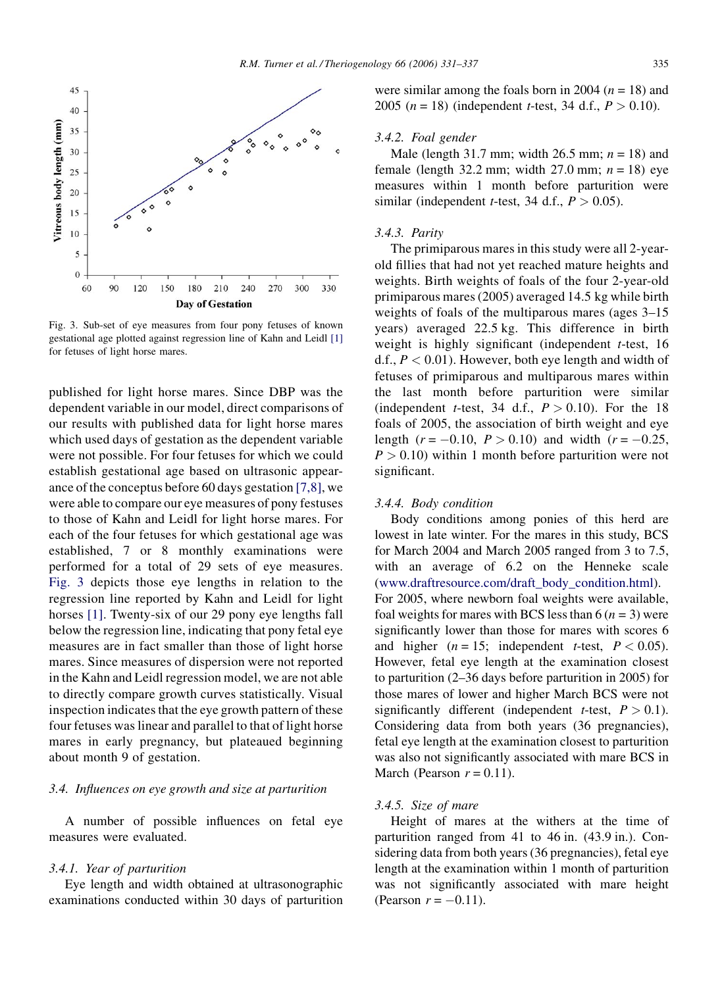



Fig. 3. Sub-set of eye measures from four pony fetuses of known gestational age plotted against regression line of Kahn and Leidl [\[1\]](#page-6-0) for fetuses of light horse mares.

published for light horse mares. Since DBP was the dependent variable in our model, direct comparisons of our results with published data for light horse mares which used days of gestation as the dependent variable were not possible. For four fetuses for which we could establish gestational age based on ultrasonic appearance of the conceptus before 60 days gestation [\[7,8\]](#page-6-0), we were able to compare our eye measures of pony festuses to those of Kahn and Leidl for light horse mares. For each of the four fetuses for which gestational age was established, 7 or 8 monthly examinations were performed for a total of 29 sets of eye measures. Fig. 3 depicts those eye lengths in relation to the regression line reported by Kahn and Leidl for light horses [\[1\].](#page-6-0) Twenty-six of our 29 pony eye lengths fall below the regression line, indicating that pony fetal eye measures are in fact smaller than those of light horse mares. Since measures of dispersion were not reported in the Kahn and Leidl regression model, we are not able to directly compare growth curves statistically. Visual inspection indicates that the eye growth pattern of these four fetuses was linear and parallel to that of light horse mares in early pregnancy, but plateaued beginning about month 9 of gestation.

# 3.4. Influences on eye growth and size at parturition

A number of possible influences on fetal eye measures were evaluated.

#### 3.4.1. Year of parturition

Eye length and width obtained at ultrasonographic examinations conducted within 30 days of parturition were similar among the foals born in 2004 ( $n = 18$ ) and 2005 ( $n = 18$ ) (independent *t*-test, 34 d.f.,  $P > 0.10$ ).

# 3.4.2. Foal gender

Male (length 31.7 mm; width 26.5 mm;  $n = 18$ ) and female (length 32.2 mm; width 27.0 mm;  $n = 18$ ) eye measures within 1 month before parturition were similar (independent *t*-test, 34 d.f.,  $P > 0.05$ ).

#### 3.4.3. Parity

The primiparous mares in this study were all 2-yearold fillies that had not yet reached mature heights and weights. Birth weights of foals of the four 2-year-old primiparous mares (2005) averaged 14.5 kg while birth weights of foals of the multiparous mares (ages 3–15 years) averaged 22.5 kg. This difference in birth weight is highly significant (independent  $t$ -test, 16 d.f.,  $P < 0.01$ ). However, both eye length and width of fetuses of primiparous and multiparous mares within the last month before parturition were similar (independent *t*-test, 34 d.f.,  $P > 0.10$ ). For the 18 foals of 2005, the association of birth weight and eye length  $(r = -0.10, P > 0.10)$  and width  $(r = -0.25,$  $P > 0.10$ ) within 1 month before parturition were not significant.

## 3.4.4. Body condition

Body conditions among ponies of this herd are lowest in late winter. For the mares in this study, BCS for March 2004 and March 2005 ranged from 3 to 7.5, with an average of 6.2 on the Henneke scale [\(www.draftresource.com/draft\\_body\\_condition.html\)](http://www.draftresource.com/draft_body_condition.html). For 2005, where newborn foal weights were available, foal weights for mares with BCS less than 6  $(n = 3)$  were significantly lower than those for mares with scores 6 and higher  $(n = 15$ ; independent *t*-test,  $P < 0.05$ ). However, fetal eye length at the examination closest to parturition (2–36 days before parturition in 2005) for those mares of lower and higher March BCS were not significantly different (independent *t*-test,  $P > 0.1$ ). Considering data from both years (36 pregnancies), fetal eye length at the examination closest to parturition was also not significantly associated with mare BCS in March (Pearson  $r = 0.11$ ).

#### 3.4.5. Size of mare

Height of mares at the withers at the time of parturition ranged from 41 to 46 in. (43.9 in.). Considering data from both years (36 pregnancies), fetal eye length at the examination within 1 month of parturition was not significantly associated with mare height (Pearson  $r = -0.11$ ).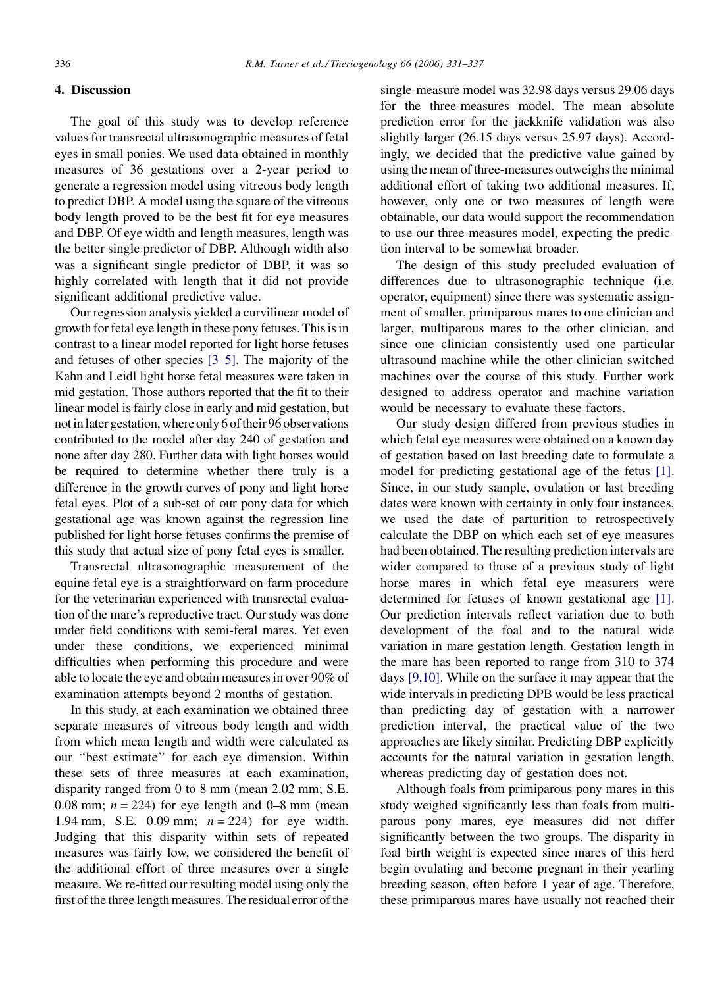# 4. Discussion

The goal of this study was to develop reference values for transrectal ultrasonographic measures of fetal eyes in small ponies. We used data obtained in monthly measures of 36 gestations over a 2-year period to generate a regression model using vitreous body length to predict DBP. A model using the square of the vitreous body length proved to be the best fit for eye measures and DBP. Of eye width and length measures, length was the better single predictor of DBP. Although width also was a significant single predictor of DBP, it was so highly correlated with length that it did not provide significant additional predictive value.

Our regression analysis yielded a curvilinear model of growth for fetal eye length in these pony fetuses. This is in contrast to a linear model reported for light horse fetuses and fetuses of other species [\[3–5\]](#page-6-0). The majority of the Kahn and Leidl light horse fetal measures were taken in mid gestation. Those authors reported that the fit to their linear model is fairly close in early and mid gestation, but not in later gestation, where only 6 of their 96 observations contributed to the model after day 240 of gestation and none after day 280. Further data with light horses would be required to determine whether there truly is a difference in the growth curves of pony and light horse fetal eyes. Plot of a sub-set of our pony data for which gestational age was known against the regression line published for light horse fetuses confirms the premise of this study that actual size of pony fetal eyes is smaller.

Transrectal ultrasonographic measurement of the equine fetal eye is a straightforward on-farm procedure for the veterinarian experienced with transrectal evaluation of the mare's reproductive tract. Our study was done under field conditions with semi-feral mares. Yet even under these conditions, we experienced minimal difficulties when performing this procedure and were able to locate the eye and obtain measures in over 90% of examination attempts beyond 2 months of gestation.

In this study, at each examination we obtained three separate measures of vitreous body length and width from which mean length and width were calculated as our ''best estimate'' for each eye dimension. Within these sets of three measures at each examination, disparity ranged from 0 to 8 mm (mean 2.02 mm; S.E. 0.08 mm;  $n = 224$ ) for eye length and 0–8 mm (mean 1.94 mm, S.E. 0.09 mm;  $n = 224$ ) for eye width. Judging that this disparity within sets of repeated measures was fairly low, we considered the benefit of the additional effort of three measures over a single measure. We re-fitted our resulting model using only the first of the three length measures. The residual error of the

single-measure model was 32.98 days versus 29.06 days for the three-measures model. The mean absolute prediction error for the jackknife validation was also slightly larger (26.15 days versus 25.97 days). Accordingly, we decided that the predictive value gained by using the mean of three-measures outweighs the minimal additional effort of taking two additional measures. If, however, only one or two measures of length were obtainable, our data would support the recommendation to use our three-measures model, expecting the prediction interval to be somewhat broader.

The design of this study precluded evaluation of differences due to ultrasonographic technique (i.e. operator, equipment) since there was systematic assignment of smaller, primiparous mares to one clinician and larger, multiparous mares to the other clinician, and since one clinician consistently used one particular ultrasound machine while the other clinician switched machines over the course of this study. Further work designed to address operator and machine variation would be necessary to evaluate these factors.

Our study design differed from previous studies in which fetal eye measures were obtained on a known day of gestation based on last breeding date to formulate a model for predicting gestational age of the fetus [\[1\].](#page-6-0) Since, in our study sample, ovulation or last breeding dates were known with certainty in only four instances, we used the date of parturition to retrospectively calculate the DBP on which each set of eye measures had been obtained. The resulting prediction intervals are wider compared to those of a previous study of light horse mares in which fetal eye measurers were determined for fetuses of known gestational age [\[1\].](#page-6-0) Our prediction intervals reflect variation due to both development of the foal and to the natural wide variation in mare gestation length. Gestation length in the mare has been reported to range from 310 to 374 days [\[9,10\].](#page-6-0) While on the surface it may appear that the wide intervals in predicting DPB would be less practical than predicting day of gestation with a narrower prediction interval, the practical value of the two approaches are likely similar. Predicting DBP explicitly accounts for the natural variation in gestation length, whereas predicting day of gestation does not.

Although foals from primiparous pony mares in this study weighed significantly less than foals from multiparous pony mares, eye measures did not differ significantly between the two groups. The disparity in foal birth weight is expected since mares of this herd begin ovulating and become pregnant in their yearling breeding season, often before 1 year of age. Therefore, these primiparous mares have usually not reached their